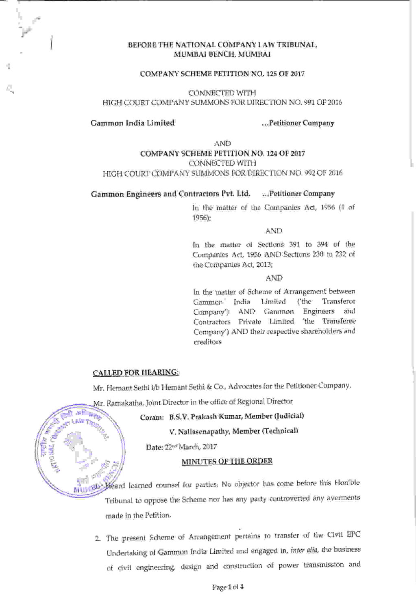### BEFORE THE NATIONAL COMPANY LAW TRIBUNAL, MUMBAI BENCH, MUMBAI

### COMPANY SCHEME PETITION NO. 125 OF 2017

CONNECTED WITH HIGH COURT COMPANY SUMMONS FOR DIRECTION NO. 991 OF 2016

### Gammon India Limited ...Petitioner Company

AND COMPANY SCHEME PETITION NO. 724 OF 2077 CONNECTED WITH HIGH COURT COMPANY SUMMONS FOR DIRECTION NO. 992 OF 2016

Gammon Engineers and Contractors Pvt. Ltd. .,.Petitioner Company

the Companies Act, 1955 (1 of In the matter of 79s6);

AND

In the matter of Sections 391 to 394 of the Companies Act, 1956 AND Sections 230 to 232 ot the ComPanies Act, 2013;

AND

In the matter of Scheme of Arrangement between<br>"Gammon" India - Limited ('the Transferor Company') - AND - Gammon - Engineers - and Contractors Private Limited 'the Transleree Company') AND their respective shareholders and creditors

### CALLED FOR HEARING:

lvz.<br>Lvz

Mr. Hemant Sethi i/b Hemant Sethi & Co., Advocates for the Petitioner Company'

. Ramakatha, Joint Director in the office of Regional Director Kman Topper

Coram: B.S.V, Pralash Kumar, Member (fudicial)

V. Nallasenapathy, Member (Technical)

Date: 22"<sup>d</sup> March, 2017

### MINUTES OF THE ORDER

leamed counsel for parties. No objector has come before this Horfble Tribunal to oppose the Scheme nor has any party controverted any averments made in the Petition. **Kampionee** 

> The present Scheme of Arrangement Pertains to transfer of the Civil EPC Undertaking of Gammon India Limited and engaged in, inter alia, the business of civil engineering, design and construction of power transmission and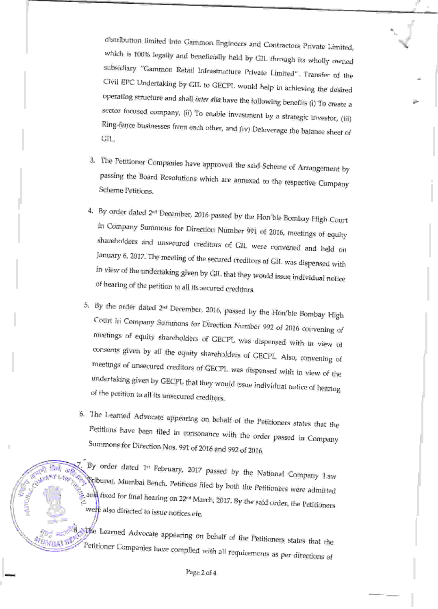distribution limited into Gammon Engineers and Contractors private Limited which is 100% legally and beneficially held by GIL through its wholly owned subsidiary "Gammon Retail Infrastructure Private Limited". Transfer of the Civil EpC Undertaking by GIL to GECpL woutd help in achieving the desired operating structure and shall inter alia have the following benefits (i) To create a sector focused company, (ii) To enable investment by a strategic investor, (iii) Ring-fence businesses from each other, and (iv) Deleverage the balance sheet of GIL.

- 3. The Petitioner Companies have approved the said Scheme of Arrangement by passing the Board Resolutions which are annexed to thr Finally the board Resolutions which are annexed to the respective Company<br>Scheme Petitions
- 4. By order dated 2<sup>nd</sup> December, 2016 passed by the Hon ble Bombay High Court in Company Summons for Direction Number 991 of 2016, meetings of equity shareholders and unsecured creditors of GIL were convened and held on<br>January 6, 2017. The meeting of the secured creditors of GIL was dispensed with In view of the undertaking given by GIL that they would issue individual notice of hearing of the petition to all its secured creditors.
- 5. By the order dated 2<sup>nd</sup> December, 2016, passed by the Hon'ble Bombay High Court in Company Summons for Direction Number 992 of 2016 convening of meetings of equity shareholders of GECPL was dispensed with in view of co
- 6. The Learned Advocate appearing on behalf of the Petitioners states that the Summons for Direction Nos. 991 of 2016 and 992 of 2016. Petitions have been filed in consonance with the order passed in Company

 $\frac{1}{200}$   $\frac{1}{100}$ ,  $\frac{1}{100}$ ,  $\frac{1}{100}$  order dated 1<sup>-1</sup> February, 2017 passed by the National Company Law Kibunal, Mumbai Bench, Petitions filed by both the Petitioners were admitted and fixed for final hearing on 22<sup>na</sup> March, 2017. By the said order, the Petitioners<br>and fixed for final hearing on 22<sup>na</sup> March, 2017. By the said order, the Petitioners were also directed to issue notices etc.

 $f_{\rm eff} = \frac{1}{2} \int_{0}^{2\pi} d\theta \, d\theta \, d\theta$ 

 $\sqrt{1-x^2}$ 

.\_.

 $\epsilon$  ,  $\mathcal{N}$ 

 $\frac{1}{2}$  .

 $\frac{1}{2}$ <sub>i</sub>:  $\frac{1}{2}$  =<sub>51</sub><sup>2</sup>. By The Learned Advocate appearing on behalf of the Petitioners states that the Petitioner Companies have complied with all requirements as per directions of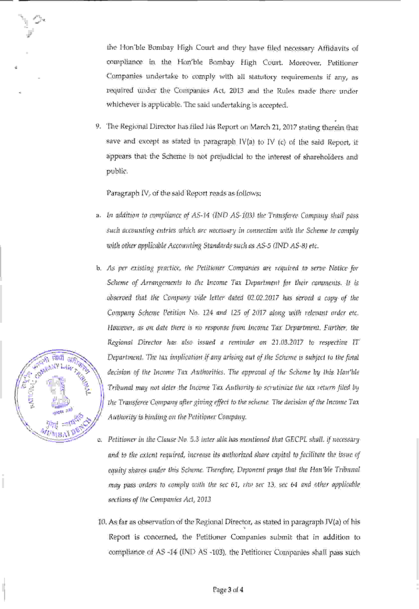the Hon'ble Bombay High Court and they have filed necessary Affidavits of compliance in the Hon'ble Bombay High Court, Moreover, petitioner Companies undertake to comply with all statutory requirements if any, as required under the Companies Act, 2013 and the Rules made there under whichever is applicable. The said undertaking is accepted.

9. The Regional Director has filed his Report on March 21, 2017 stating therein that save and except as stated in paragraph IV(a) to IV (c) of the said Report, it appears that the Scheme is not prejudicial to the interest of shareholders and public.

Paragraph IV, of the said Report reads as follows:

- a. In addition to compliance of AS-14 (IND AS-103) the Transferee Company shall pass such accounting entries which are necessary in connection with the Scheme to comply with other applicahle Accounting Standards such as AS-5 OND AS-8) etc.
- As per existing practice, the Petitioner Companies are rcquired to serae Notice for Scheme of Arrangements to the Income Tax Department for their comments. It is obseraed that thc Company aide letter dated 02.02.2017 has serued a copy of the Company Scheme Petition No. 124 and 125 of 2017 along with relevant order etc. However, as on date there is no response from income Tax Department. Further, the Regional Director has also issued a reminder on 21.03.2017 to respective IT Department. The tat implication if any arising out of the Scheme is subject to the Jinal decision of the Income Tax Authorities. The approval of the Scheme by this Hon'ble Tribunal may not deter the lncome Tax Authority to scrutinize the tax return rtbd by the Transferee Company after giving effect to the scheme. The decision of the Income Tax Authority is binding on thc Petitioner Company .



- Petitioner in the Clause No. 5.3 inter alia has mentioned that GECPL shall, if necessary and to the extent required, increase its authorized share capital to facilitate the issue of equity shares ander this Scheme. Therefore, Deponent prays that the Hon'ble Tribunal may pass orders to comply with the sec 61, rlw sec 13, sec 64 and other applicable sections of the Companies Act, 2013.
- 10. As far as observation of the Regional Director, as stated in paragraph IV(a) of his Report is concemed, the Petitioner Companies submit that in addition to compliance of AS -14 (IND AS -103), the Petitioner Companies shall pass such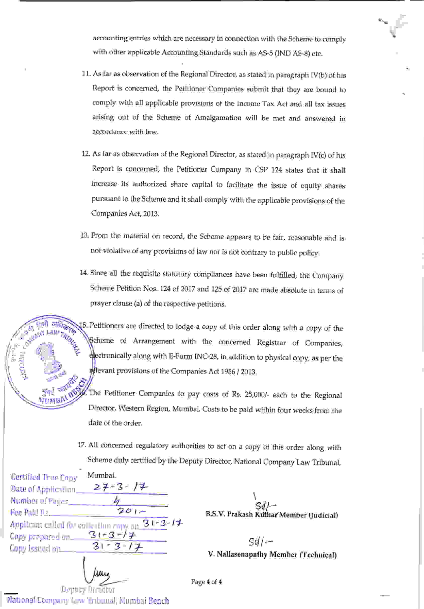accounting entries which are necessary in connection with the Scheme to comply with other applicable Accounting Standards such as AS-5 (IND AS-8) etc.

- 11. As far as observation of the Regional Director, as stated in paragraph IV(b) of his Report is concemed, the Petitioner Companies submit that they are bound to comply with all applicable provisions of the Income Tax Act and all tax issues arising out of the Scheme of Amalgamation will be met and answered in accordance with law.
- 12. As far as observation of the Regional Director, as stated in paragraph IV(c) of his Report is concemed, the Petitioner Company in CSP 124 states that it shall increase its authorized share capital to facilitate the issue of equity shares pursuant to the Scheme and it shall comply with the applicable provisions of the Companies Act, 2013.
- 13. From the material on record, the Scheme appears to be fair, reasonable and is not violative of any provisions of law nor is not contrary to public policy.
- 14. Since all the requisite statutory compliances have been fulfilled, the Company Scheme Petition Nos. 124 of 2017 and 125 of 2017 are made absolute in terms of prayer clause (a) of the respective petitions.

 $\frac{1}{2}$  of  $\frac{1}{2}$   $\frac{1}{2}$   $\frac{1}{2}$ . Petitioners are directed to lodge a copy of this order along with a copy of the  $N_{\ell m}$ Scheme of Arrangement with the concerned Registrar of Companies, dectronically along with E-Form INC-28, in addition to physical copy, as per the  $\frac{1}{2}$  if  $\frac{1}{2013}$  if evant provisions of the Companies Act 1956 / 2013.

 $\overline{\phantom{a}}$   $\overline{\phantom{a}}$   $\overline{\phantom{a}}$   $\overline{\phantom{a}}$   $\overline{\phantom{a}}$   $\overline{\phantom{a}}$   $\overline{\phantom{a}}$   $\overline{\phantom{a}}$   $\overline{\phantom{a}}$   $\overline{\phantom{a}}$   $\overline{\phantom{a}}$   $\overline{\phantom{a}}$   $\overline{\phantom{a}}$   $\overline{\phantom{a}}$   $\overline{\phantom{a}}$   $\overline{\phantom{a}}$   $\overline{\phantom{a}}$   $\overline{\phantom{a}}$   $\overline{\$ Petitioner Companies to Pav costs of Rs. 25,000/- each to the Regional Director, Westem Regiory Mumbai. Costs to be paid within four weeks from the date of the order. **FILE TANK BEST** 

> 17. All concemed regulatory authorities to act on a copy of this order along with Scheme duly certified by the Deputy Director, National Company Law Tribunal,

| Mumbai.<br><b>Certified True Copy</b>                                                                                                          |                                          |
|------------------------------------------------------------------------------------------------------------------------------------------------|------------------------------------------|
| Date of Application 27-3-17                                                                                                                    |                                          |
| Number at Paries<br>$201 -$                                                                                                                    |                                          |
| Here $\mathbb{P}_{\text{add}}$ , $\mathbb{P}_{\text{max}}$ , and $\mathbb{P}_{\text{max}}$<br>Applicant called for valleution copy on $3+3-14$ | B.S.V. Prakash Kulfrar Member (Judicial) |
| Copy prepared on $3! - 3 - 1 + 1$                                                                                                              | $Sd$ / $-$                               |
| $3 - 3 - 1$<br>Copy issued on _____                                                                                                            | V. Nallasenapathy Member (Technical)     |
|                                                                                                                                                |                                          |

Page 4 of 4

Deputy Director National Company La.w Tribunal, Mumbai Bench

l3ti r, ...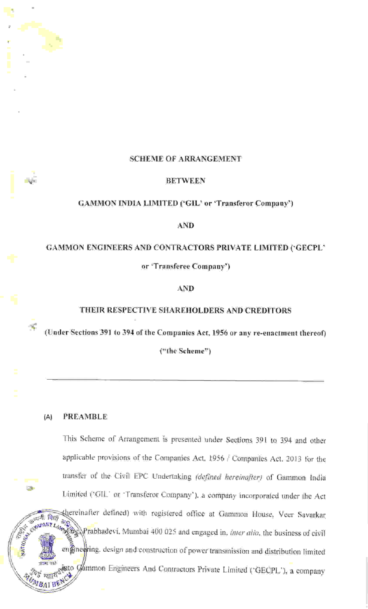# SCHEME OF ARRANGEMENT

### BETWEEN

# GAMMON INDIA LIMITED ('GIL' or'Transferor Company')

# AND

# GAMMON ENGINEERS AND CONTRACTORS PRIVATE LIMITED ('GECPL'

or'Transferee Company')

# AND

# THEIR RESPECTIVE SHAREHOLDERS AND CREDITORS

(Under Sections 391 to 394 of the Companies Act, 1956 or any re-enactment thereof)

("the Scheme")

# (A) PREAMBLE

**CH** 

This Scheme of Arrangement is presented under Sections 391 to 394 and other applicable provisions of the Companies Act, 1956 / Companies Act,2013 for the transfer of the Civil EPC Undertaking (defined hereinafter) of Gammon India Limited ('GIL' or'Transferor Company'), a company incorporated under the Act defined) with registered office at Gammon House. Veer Savarkar <sup>44</sup> Ma<sub>2</sub>. Prabhadevi. Mumbai 400 025 and engaged in, *inter alia*, the business of civil engined ing. design and construction of power transmission and distribution limited si? qal extent of Contractors Private Limited ('GECPL'), a company , 1947<br>1942 - Paris<br>1942 - Paris **Property**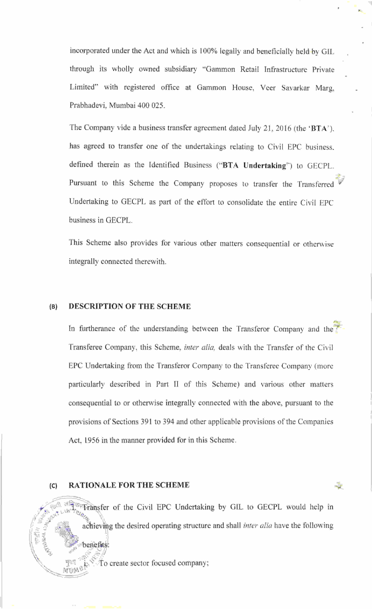incorporated under the Act and which is 100% legally and beneficially held by GIL through its wholly owned subsidiary "Gammon Retail Infrastructure Private Limited" with registered office at Gammon House, veer Savarkar Marg, Prabhadevi, Mumbai 400 025.

The Company vide a business transfer agreement dated July 21, 2016 (the 'BTA'), has agreed to transfer one of the undertakings relating to Civil EPC business. defined therein as the Identified Business ("BTA Undertaking") to GECPL. Pursuant to this Scheme the Company proposes to transfer the Transferred Undertaking to GECPL as part of the effort to consolidate the entire Civil EPC business in GECPL.

This Scheme also provides for various other matters consequential or otherwise integrally connected therewith.

# (B) DESCRIPTION OF THE SCHEME

In furtherance of the understanding between the Transferor Company and the Transferee Company, this Scheme, *inter alia*, deals with the Transfer of the Civil EPC Undertaking from the Transferor Company to the Transferee Company (more particularly described in Part II of this Scheme) and various other matters consequential to or otherwise integrally connected with the above, pursuant to the provisions of Sections 391 to 394 and other applicable provisions of the Companies Act, 1956 in the manner provided for in this Scheme.

# (c) RATIONALE FOR THE SCHEME

,,

, : - r!lt'i)[-..

'\.,,

 $\sim$  munes  $\frac{1}{4}$ 

to GECPL would help in achieving the desired operating structure and shall *inter alia* have the following  $\sqrt{\frac{1}{2}}$  Transfer of the Civil EPC Undertaking by GIL , the internal  $\frac{1}{2}$ benefits:

 $\int_{\mathbb{R}^N}$   $\int_{\mathbb{R}^N}$  o create sector focused company;